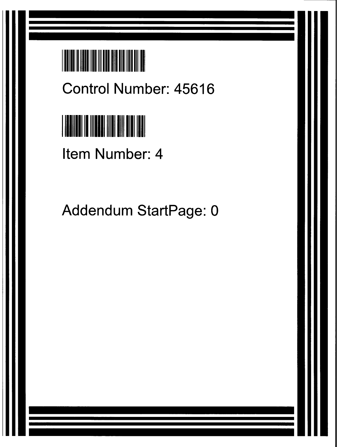

**Control Number**: **45616**



**Item Number**: **4**

Addendum StartPage: 0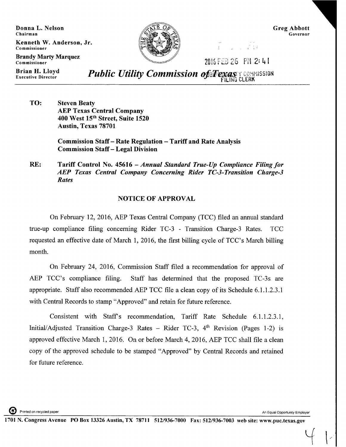Donna L. Nelson **Chairman**

Brandy Marty Marque<mark>z</mark>

Kenneth W. Anderson, Jr. **Commissioner**



Greg Abbott **Governor**

**Commissioner Commissioner 12: 4 Terms 16: 7016 FEB 26, P11 2: 4 Terms** 

 $\mathcal{L}$ 

**Brian** H. Lloyd

*Public Utility Commission of FENGSY COMMISSION* 

TO: Steven Beaty AEP Texas Central Company 400 West 15th Street, Suite 1520 Austin, Texas 78701

> **Commission** Staff - Rate **Regulation** - Tariff and Rate Analysis **Commission** Staff - Legal Division

**RE: Tariff Control No. 45616** *- Annual Standard True-Up Compliance Filing for AEP Texas Central Company Concerning Rider TC-3-Transition Charge-3 Rates*

## NOTICE OF APPROVAL

On February 12, 2016, AEP Texas Central Company (TCC) filed an annual standard true-up compliance filing concerning Rider TC-3 - Transition Charge-3 Rates. TCC requested an effective date of March 1, 2016, the first billing cycle of TCC's March billing month.

On February 24, 2016, Commission Staff filed a recommendation for approval of AEP TCC's compliance filing. Staff has determined that the proposed TC-3s are appropriate. Staff also recommended AEP TCC file a clean copy of its Schedule 6.1.1.2.3.1 with Central Records to stamp "Approved" and retain for future reference.

Consistent with Staff's recommendation, Tariff Rate Schedule 6.1.1.2.3.1, Initial/Adjusted Transition Charge-3 Rates - Rider TC-3,  $4<sup>th</sup>$  Revision (Pages 1-2) is approved effective March 1, 2016. On or before March 4, 2016, AEP TCC shall file a clean copy of the approved schedule to be stamped "Approved" by Central Records and retained for future reference.

Printed on recycled paper **An Equal Opportunity Employer** An Equal Opportunity Employer